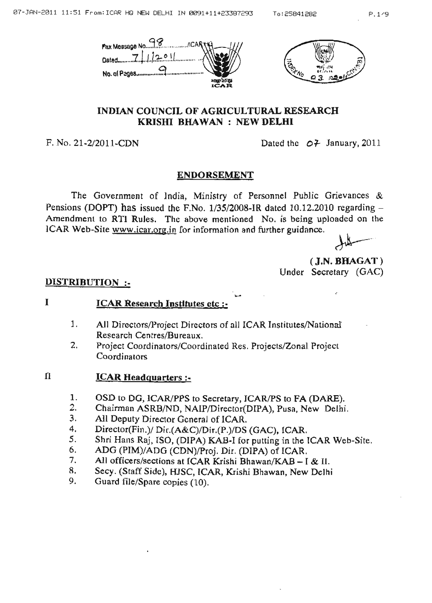

# INDIAN COUNCIL OF AGRICULTURAL RESEARCH KRISHI BHAWAN : NEW DELHI

F. No. 21-2/2011-CDN Dated the  $O^2$  January, 2011

# ENDORSEMENT

The Government of India, Ministry of Personnel Public Grievances & Pensions (DOPT) has issued the F.No.  $1/35/2008$ -IR dated 10.12.2010 regarding  $-$ Amendment to RTI Rules. The above mentioned No. is being uploaded on the ICAR Web-Site www.icar.org.in for information and further guidance.

 $\overline{\mathcal{L}}$ 

(J.N. BHAGAT ) Under Secretary (GAC)

.'.

### DISTRIBUTION :-

#### I ICAR Research Institutes ctc :-

- 1. All Directors/Project Directors of all ICAR Institutes/National Research Centres/Bureaux.
- Project Coordinators/Coordinated Res. Projects/Zonal Project **Coordinators** 2.

#### n ICAR Headquarters :-

- 1. OSD to DO, ICAR/PPS to Secretary, ICAR/PS to FA (DARE).
- 2. Chairman ASRB/ND, NAIP/Director(DIPA), Pusa, New Delhi.
- 3. All Deputy Director General of ICAR.
- 4. Director(Fin.)/ Dir.(A&C)/Dir.(P.)/DS (GAC), ICAR.
- 5. Shri Hans Raj, ISO, (DIPA) KAB-I for putting in the ICAR Web-Site.
- 6. ADG (PIM)/ADG (CDN)/Proj. Die. (DIPA) of ICAR.
- 7. All officers/sections at ICAR Krishi Bhawan/KAB  $-$  I & II.
- 8. Secy. (Staff. Side), HJSC, ICAR, Krishi Bhawan, New Delhi
- 9. Guard file/Spare copies (10).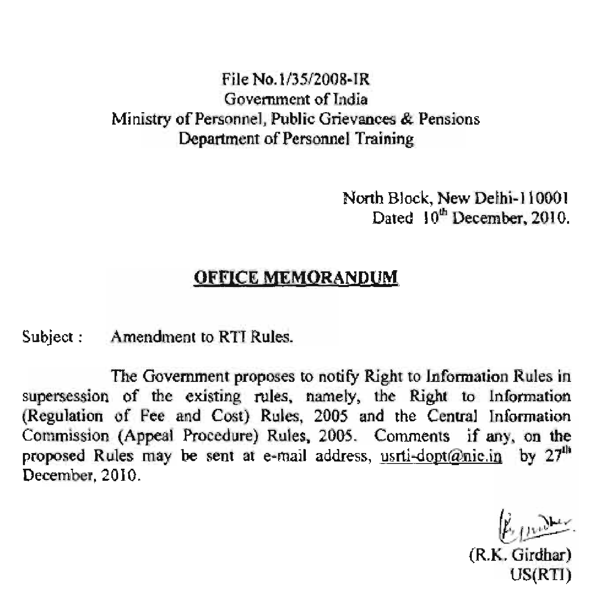# File No. 1/35/2008-IR Government of India Ministry of Personnel, Public Grievances & Pensions Department of Personnel Training

North Block, New Delhi-110001 Dated 10<sup>th</sup> December, 2010.

### **OFFICE MEMORANDUM**

Subject : Amendment to RTI Rules.

The Government proposes to notify Right to Information Rules in supersession of the existing rules, namely, the Right to Information (Regulation of Fee and Cost) Rules, 2005 and the Central Information Commission (Appeal Procedure) Rules, 2005. Comments if any, on the proposed Rules may be sent at e-mail address, usrti-dopt@nic.in by  $27<sup>th</sup>$ December, 2010.

(R.K. Girdhar) US(RT1)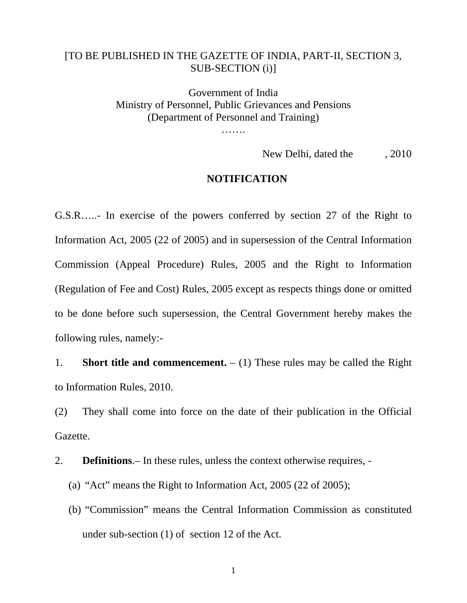# [TO BE PUBLISHED IN THE GAZETTE OF INDIA, PART-II, SECTION 3, SUB-SECTION (i)]

Government of India Ministry of Personnel, Public Grievances and Pensions (Department of Personnel and Training)

………

New Delhi, dated the , 2010

#### **NOTIFICATION**

G.S.R…..- In exercise of the powers conferred by section 27 of the Right to Information Act, 2005 (22 of 2005) and in supersession of the Central Information Commission (Appeal Procedure) Rules, 2005 and the Right to Information (Regulation of Fee and Cost) Rules, 2005 except as respects things done or omitted to be done before such supersession, the Central Government hereby makes the following rules, namely:-

1. **Short title and commencement.**  $- (1)$  These rules may be called the Right to Information Rules, 2010.

(2) They shall come into force on the date of their publication in the Official Gazette.

2. **Definitions**.– In these rules, unless the context otherwise requires, -

(a) "Act" means the Right to Information Act, 2005 (22 of 2005);

(b) "Commission" means the Central Information Commission as constituted under sub-section (1) of section 12 of the Act.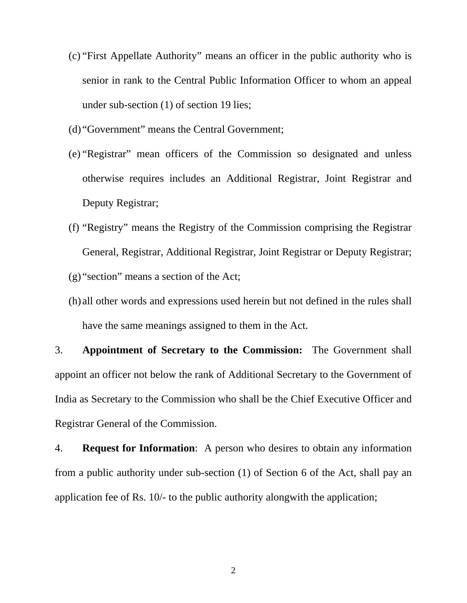- (c) "First Appellate Authority" means an officer in the public authority who is senior in rank to the Central Public Information Officer to whom an appeal under sub-section (1) of section 19 lies;
- (d) "Government" means the Central Government;
- (e) "Registrar" mean officers of the Commission so designated and unless otherwise requires includes an Additional Registrar, Joint Registrar and Deputy Registrar;
- (f) "Registry" means the Registry of the Commission comprising the Registrar General, Registrar, Additional Registrar, Joint Registrar or Deputy Registrar;
- (g) "section" means a section of the Act;
- (h) all other words and expressions used herein but not defined in the rules shall have the same meanings assigned to them in the Act.

3. **Appointment of Secretary to the Commission:** The Government shall appoint an officer not below the rank of Additional Secretary to the Government of India as Secretary to the Commission who shall be the Chief Executive Officer and Registrar General of the Commission.

4. **Request for Information**: A person who desires to obtain any information from a public authority under sub-section (1) of Section 6 of the Act, shall pay an application fee of Rs. 10/- to the public authority alongwith the application;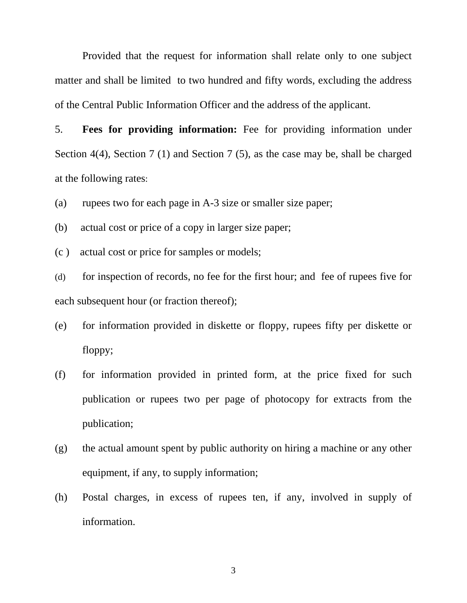Provided that the request for information shall relate only to one subject matter and shall be limited to two hundred and fifty words, excluding the address of the Central Public Information Officer and the address of the applicant.

5. **Fees for providing information:** Fee for providing information under Section 4(4), Section 7 (1) and Section 7 (5), as the case may be, shall be charged at the following rates:

(a) rupees two for each page in A-3 size or smaller size paper;

(b) actual cost or price of a copy in larger size paper;

(c ) actual cost or price for samples or models;

(d) for inspection of records, no fee for the first hour; and fee of rupees five for each subsequent hour (or fraction thereof);

- (e) for information provided in diskette or floppy, rupees fifty per diskette or floppy;
- (f) for information provided in printed form, at the price fixed for such publication or rupees two per page of photocopy for extracts from the publication;
- (g) the actual amount spent by public authority on hiring a machine or any other equipment, if any, to supply information;
- (h) Postal charges, in excess of rupees ten, if any, involved in supply of information.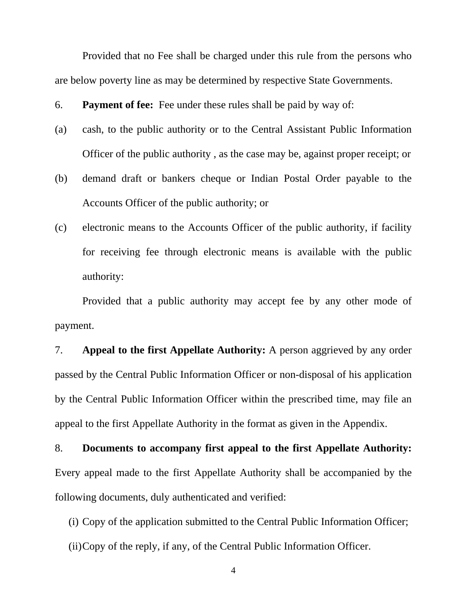Provided that no Fee shall be charged under this rule from the persons who are below poverty line as may be determined by respective State Governments.

6. **Payment of fee:** Fee under these rules shall be paid by way of:

- (a) cash, to the public authority or to the Central Assistant Public Information Officer of the public authority , as the case may be, against proper receipt; or
- (b) demand draft or bankers cheque or Indian Postal Order payable to the Accounts Officer of the public authority; or
- (c) electronic means to the Accounts Officer of the public authority, if facility for receiving fee through electronic means is available with the public authority:

Provided that a public authority may accept fee by any other mode of payment.

7. **Appeal to the first Appellate Authority:** A person aggrieved by any order passed by the Central Public Information Officer or non-disposal of his application by the Central Public Information Officer within the prescribed time, may file an appeal to the first Appellate Authority in the format as given in the Appendix.

8. **Documents to accompany first appeal to the first Appellate Authority:** Every appeal made to the first Appellate Authority shall be accompanied by the following documents, duly authenticated and verified:

(i) Copy of the application submitted to the Central Public Information Officer;

(ii)Copy of the reply, if any, of the Central Public Information Officer.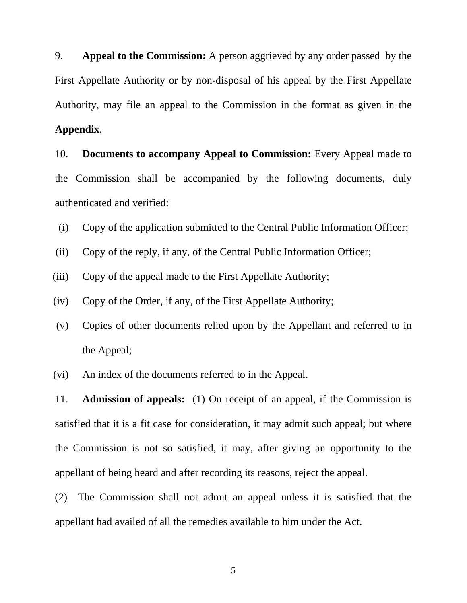9. **Appeal to the Commission:** A person aggrieved by any order passed by the First Appellate Authority or by non-disposal of his appeal by the First Appellate Authority, may file an appeal to the Commission in the format as given in the **Appendix**.

10. **Documents to accompany Appeal to Commission:** Every Appeal made to the Commission shall be accompanied by the following documents, duly authenticated and verified:

- (i) Copy of the application submitted to the Central Public Information Officer;
- (ii) Copy of the reply, if any, of the Central Public Information Officer;
- (iii) Copy of the appeal made to the First Appellate Authority;
- (iv) Copy of the Order, if any, of the First Appellate Authority;
- (v) Copies of other documents relied upon by the Appellant and referred to in the Appeal;
- (vi) An index of the documents referred to in the Appeal.

11. **Admission of appeals:** (1) On receipt of an appeal, if the Commission is satisfied that it is a fit case for consideration, it may admit such appeal; but where the Commission is not so satisfied, it may, after giving an opportunity to the appellant of being heard and after recording its reasons, reject the appeal.

(2) The Commission shall not admit an appeal unless it is satisfied that the appellant had availed of all the remedies available to him under the Act.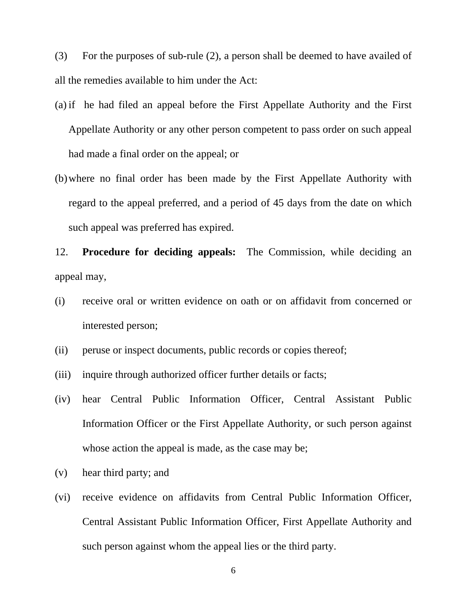(3) For the purposes of sub-rule (2), a person shall be deemed to have availed of all the remedies available to him under the Act:

- (a) if he had filed an appeal before the First Appellate Authority and the First Appellate Authority or any other person competent to pass order on such appeal had made a final order on the appeal; or
- (b)where no final order has been made by the First Appellate Authority with regard to the appeal preferred, and a period of 45 days from the date on which such appeal was preferred has expired.

12. **Procedure for deciding appeals:** The Commission, while deciding an appeal may,

- (i) receive oral or written evidence on oath or on affidavit from concerned or interested person;
- (ii) peruse or inspect documents, public records or copies thereof;
- (iii) inquire through authorized officer further details or facts;
- (iv) hear Central Public Information Officer, Central Assistant Public Information Officer or the First Appellate Authority, or such person against whose action the appeal is made, as the case may be;
- (v) hear third party; and
- (vi) receive evidence on affidavits from Central Public Information Officer, Central Assistant Public Information Officer, First Appellate Authority and such person against whom the appeal lies or the third party.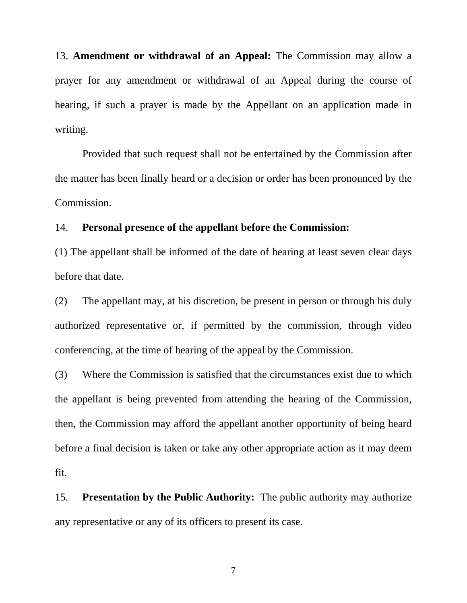13. **Amendment or withdrawal of an Appeal:** The Commission may allow a prayer for any amendment or withdrawal of an Appeal during the course of hearing, if such a prayer is made by the Appellant on an application made in writing.

Provided that such request shall not be entertained by the Commission after the matter has been finally heard or a decision or order has been pronounced by the Commission.

### 14. **Personal presence of the appellant before the Commission:**

(1) The appellant shall be informed of the date of hearing at least seven clear days before that date.

(2) The appellant may, at his discretion, be present in person or through his duly authorized representative or, if permitted by the commission, through video conferencing, at the time of hearing of the appeal by the Commission.

(3) Where the Commission is satisfied that the circumstances exist due to which the appellant is being prevented from attending the hearing of the Commission, then, the Commission may afford the appellant another opportunity of being heard before a final decision is taken or take any other appropriate action as it may deem fit.

15. **Presentation by the Public Authority:** The public authority may authorize any representative or any of its officers to present its case.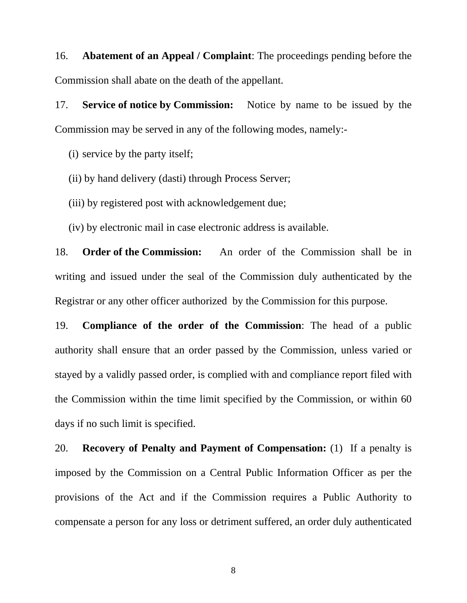16. **Abatement of an Appeal / Complaint**: The proceedings pending before the Commission shall abate on the death of the appellant.

17. **Service of notice by Commission:** Notice by name to be issued by the Commission may be served in any of the following modes, namely:-

(i) service by the party itself;

(ii) by hand delivery (dasti) through Process Server;

(iii) by registered post with acknowledgement due;

(iv) by electronic mail in case electronic address is available.

18. **Order of the Commission:** An order of the Commission shall be in writing and issued under the seal of the Commission duly authenticated by the Registrar or any other officer authorized by the Commission for this purpose.

19. **Compliance of the order of the Commission**: The head of a public authority shall ensure that an order passed by the Commission, unless varied or stayed by a validly passed order, is complied with and compliance report filed with the Commission within the time limit specified by the Commission, or within 60 days if no such limit is specified.

20. **Recovery of Penalty and Payment of Compensation:** (1)If a penalty is imposed by the Commission on a Central Public Information Officer as per the provisions of the Act and if the Commission requires a Public Authority to compensate a person for any loss or detriment suffered, an order duly authenticated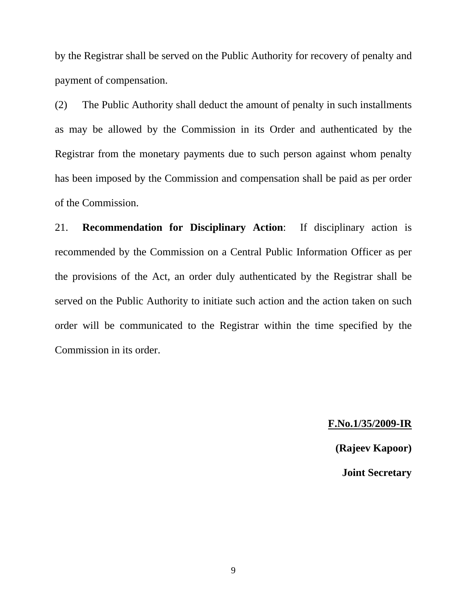by the Registrar shall be served on the Public Authority for recovery of penalty and payment of compensation.

(2) The Public Authority shall deduct the amount of penalty in such installments as may be allowed by the Commission in its Order and authenticated by the Registrar from the monetary payments due to such person against whom penalty has been imposed by the Commission and compensation shall be paid as per order of the Commission.

21. **Recommendation for Disciplinary Action**: If disciplinary action is recommended by the Commission on a Central Public Information Officer as per the provisions of the Act, an order duly authenticated by the Registrar shall be served on the Public Authority to initiate such action and the action taken on such order will be communicated to the Registrar within the time specified by the Commission in its order.

# **F.No.1/35/2009-IR**

**(Rajeev Kapoor)** 

**Joint Secretary**